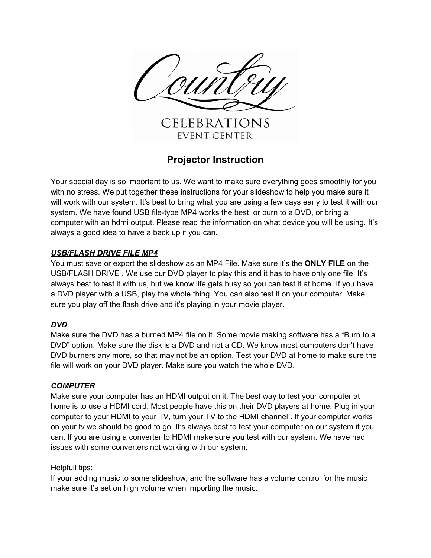

# **Projector Instruction**

Your special day is so important to us. We want to make sure everything goes smoothly for you with no stress. We put together these instructions for your slideshow to help you make sure it will work with our system. It's best to bring what you are using a few days early to test it with our system. We have found USB file-type MP4 works the best, or burn to a DVD, or bring a computer with an hdmi output. Please read the information on what device you will be using. It's always a good idea to have a back up if you can.

## *USB/FLASH DRIVE FILE MP4*

You must save or export the slideshow as an MP4 File. Make sure it's the **ONLY FILE** on the USB/FLASH DRIVE . We use our DVD player to play this and it has to have only one file. It's always best to test it with us, but we know life gets busy so you can test it at home. If you have a DVD player with a USB, play the whole thing. You can also test it on your computer. Make sure you play off the flash drive and it's playing in your movie player.

## *DVD*

Make sure the DVD has a burned MP4 file on it. Some movie making software has a "Burn to a DVD" option. Make sure the disk is a DVD and not a CD. We know most computers don't have DVD burners any more, so that may not be an option. Test your DVD at home to make sure the file will work on your DVD player. Make sure you watch the whole DVD.

### *COMPUTER*

Make sure your computer has an HDMI output on it. The best way to test your computer at home is to use a HDMI cord. Most people have this on their DVD players at home. Plug in your computer to your HDMI to your TV, turn your TV to the HDMI channel . If your computer works on your tv we should be good to go. It's always best to test your computer on our system if you can. If you are using a converter to HDMI make sure you test with our system. We have had issues with some converters not working with our system.

### Helpfull tips:

If your adding music to some slideshow, and the software has a volume control for the music make sure it's set on high volume when importing the music.